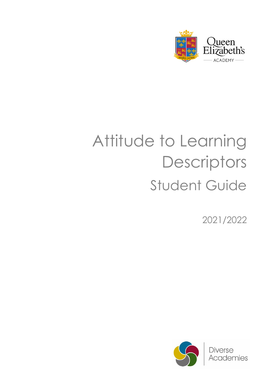

## Attitude to Learning **Descriptors** Student Guide

2021/2022

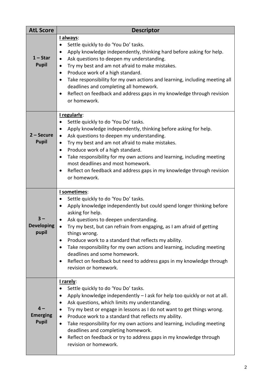| <b>AtL Score</b>                        | <b>Descriptor</b>                                                                                                                                                                                                                                                                                                                                                                                                                                                                                                                                                                                                        |
|-----------------------------------------|--------------------------------------------------------------------------------------------------------------------------------------------------------------------------------------------------------------------------------------------------------------------------------------------------------------------------------------------------------------------------------------------------------------------------------------------------------------------------------------------------------------------------------------------------------------------------------------------------------------------------|
| $1 - Star$<br><b>Pupil</b>              | l always:<br>Settle quickly to do 'You Do' tasks.<br>Apply knowledge independently, thinking hard before asking for help.<br>$\bullet$<br>Ask questions to deepen my understanding.<br>$\bullet$<br>Try my best and am not afraid to make mistakes.<br>٠<br>Produce work of a high standard.<br>$\bullet$<br>Take responsibility for my own actions and learning, including meeting all<br>$\bullet$<br>deadlines and completing all homework.<br>Reflect on feedback and address gaps in my knowledge through revision<br>$\bullet$<br>or homework.                                                                     |
| $2 -$ Secure<br><b>Pupil</b>            | I regularly:<br>Settle quickly to do 'You Do' tasks.<br>$\bullet$<br>Apply knowledge independently, thinking before asking for help.<br>٠<br>Ask questions to deepen my understanding.<br>$\bullet$<br>Try my best and am not afraid to make mistakes.<br>$\bullet$<br>Produce work of a high standard.<br>$\bullet$<br>Take responsibility for my own actions and learning, including meeting<br>$\bullet$<br>most deadlines and most homework.<br>Reflect on feedback and address gaps in my knowledge through revision<br>$\bullet$<br>or homework.                                                                   |
| <b>Developing</b><br>pupil              | I sometimes:<br>Settle quickly to do 'You Do' tasks.<br>$\bullet$<br>Apply knowledge independently but could spend longer thinking before<br>$\bullet$<br>asking for help.<br>Ask questions to deepen understanding.<br>Try my best, but can refrain from engaging, as I am afraid of getting<br>$\bullet$<br>things wrong.<br>Produce work to a standard that reflects my ability.<br>Take responsibility for my own actions and learning, including meeting<br>$\bullet$<br>deadlines and some homework.<br>Reflect on feedback but need to address gaps in my knowledge through<br>$\bullet$<br>revision or homework. |
| $4-$<br><b>Emerging</b><br><b>Pupil</b> | I rarely:<br>Settle quickly to do 'You Do' tasks.<br>٠<br>Apply knowledge independently - I ask for help too quickly or not at all.<br>$\bullet$<br>Ask questions, which limits my understanding.<br>Try my best or engage in lessons as I do not want to get things wrong.<br>Produce work to a standard that reflects my ability.<br>$\bullet$<br>Take responsibility for my own actions and learning, including meeting<br>$\bullet$<br>deadlines and completing homework.<br>Reflect on feedback or try to address gaps in my knowledge through<br>$\bullet$<br>revision or homework.                                |